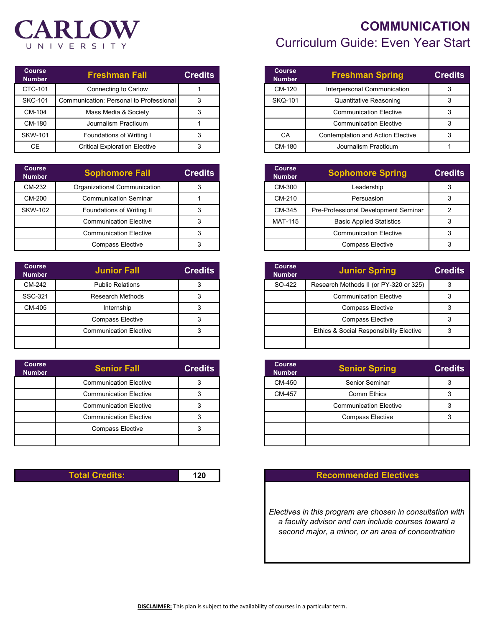# **CARLOW** UNIVERSITY

| <b>Course</b><br><b>Number</b> | <b>Freshman Fall</b>                    | <b>Credits</b> |
|--------------------------------|-----------------------------------------|----------------|
| CTC-101                        | Connecting to Carlow                    |                |
| <b>SKC-101</b>                 | Communication: Personal to Professional |                |
| CM-104                         | Mass Media & Society                    |                |
| CM-180                         | Journalism Practicum                    |                |
| <b>SKW-101</b>                 | Foundations of Writing I                |                |
| СE                             | <b>Critical Exploration Elective</b>    |                |

| Course<br><b>Number</b> | <b>Sophomore Fall</b>         | <b>Credits</b> |
|-------------------------|-------------------------------|----------------|
| CM-232                  | Organizational Communication  |                |
| CM-200                  | <b>Communication Seminar</b>  |                |
| <b>SKW-102</b>          | Foundations of Writing II     |                |
|                         | <b>Communication Elective</b> |                |
|                         | <b>Communication Elective</b> |                |
|                         | <b>Compass Elective</b>       |                |

| <b>Course</b><br><b>Number</b> | <b>Junior Fall</b>            | <b>Credits</b> | <b>Course</b><br><b>Number</b> | <b>Junior Spring</b>                    |  |
|--------------------------------|-------------------------------|----------------|--------------------------------|-----------------------------------------|--|
| CM-242                         | <b>Public Relations</b>       |                | SO-422                         | Research Methods II (or PY-320 or 325)  |  |
| SSC-321                        | Research Methods              |                |                                | <b>Communication Elective</b>           |  |
| CM-405                         | Internship                    |                |                                | <b>Compass Elective</b>                 |  |
|                                | <b>Compass Elective</b>       |                |                                | <b>Compass Elective</b>                 |  |
|                                | <b>Communication Elective</b> |                |                                | Ethics & Social Responsibility Elective |  |
|                                |                               |                |                                |                                         |  |

| <b>Course</b><br><b>Number</b> | <b>Senior Fall</b>            | <b>Credits</b> | <b>Number</b> |
|--------------------------------|-------------------------------|----------------|---------------|
|                                | <b>Communication Elective</b> | 3              |               |
|                                | <b>Communication Elective</b> |                |               |
|                                | <b>Communication Elective</b> |                |               |
|                                | <b>Communication Elective</b> |                |               |
|                                | <b>Compass Elective</b>       |                |               |
|                                |                               |                |               |

### **COMMUNICATION** Curriculum Guide: Even Year Start

| <b>Course</b><br><b>Number</b> | <b>Freshman Spring</b>            | <b>Credits</b> |
|--------------------------------|-----------------------------------|----------------|
| CM-120                         | Interpersonal Communication       | 3              |
| <b>SKQ-101</b>                 | <b>Quantitative Reasoning</b>     |                |
|                                | <b>Communication Elective</b>     |                |
|                                | <b>Communication Elective</b>     | з              |
| СA                             | Contemplation and Action Elective | 3              |
| CM-180                         | Journalism Practicum              |                |

| <b>Sophomore Fall</b>         | <b>Credits</b> | <b>Course</b><br><b>Number</b> | <b>Sophomore Spring</b>              | <b>Credits</b> |
|-------------------------------|----------------|--------------------------------|--------------------------------------|----------------|
| anizational Communication     |                | CM-300                         | Leadership                           |                |
| Communication Seminar         |                | CM-210                         | Persuasion                           |                |
| Foundations of Writing II     |                | CM-345                         | Pre-Professional Development Seminar |                |
| <b>Communication Elective</b> |                | <b>MAT-115</b>                 | <b>Basic Applied Statistics</b>      |                |
| <b>Communication Elective</b> |                |                                | <b>Communication Elective</b>        |                |
| <b>Compass Elective</b>       |                |                                | <b>Compass Elective</b>              |                |

| <b>Junior Fall</b>            | <b>Credits</b> | <b>Course</b><br><b>Number</b> | <b>Junior Spring</b>                    | <b>Credits</b> |
|-------------------------------|----------------|--------------------------------|-----------------------------------------|----------------|
| <b>Public Relations</b>       |                | SO-422                         | Research Methods II (or PY-320 or 325)  |                |
| Research Methods              |                |                                | <b>Communication Elective</b>           |                |
| Internship                    |                |                                | <b>Compass Elective</b>                 |                |
| <b>Compass Elective</b>       |                |                                | <b>Compass Elective</b>                 |                |
| <b>Communication Elective</b> |                |                                | Ethics & Social Responsibility Elective |                |
|                               |                |                                |                                         |                |

| <b>Senior Fall</b>            | <b>Credits</b> | <b>Course</b><br><b>Number</b> | <b>Senior Spring</b>          | <b>Credits</b> |
|-------------------------------|----------------|--------------------------------|-------------------------------|----------------|
| <b>Communication Elective</b> |                | CM-450                         | Senior Seminar                |                |
| <b>Communication Elective</b> |                | CM-457                         | Comm Ethics                   |                |
| <b>Communication Elective</b> |                |                                | <b>Communication Elective</b> |                |
| <b>Communication Elective</b> |                |                                | <b>Compass Elective</b>       |                |
| <b>Compass Elective</b>       |                |                                |                               |                |
|                               |                |                                |                               |                |

#### **Total Credits: 120 Recommended Electives**

*Electives in this program are chosen in consultation with a faculty advisor and can include courses toward a second major, a minor, or an area of concentration*